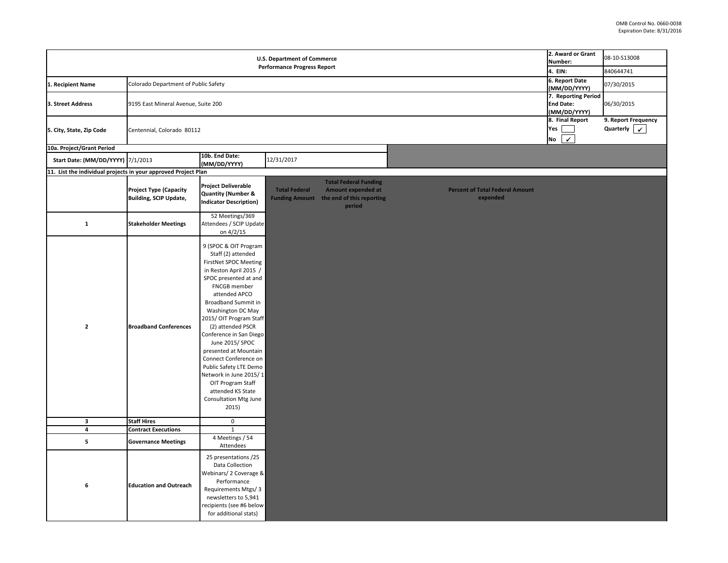| 2. Award or Grant<br>Number:                            | 08-10-S13008                     |
|---------------------------------------------------------|----------------------------------|
| 4. EIN:                                                 | 840644741                        |
| 6. Report Date<br>(MM/DD/YYYY)                          | 07/30/2015                       |
| 7. Reporting Period<br><b>End Date:</b><br>(MM/DD/YYYY) | 06/30/2015                       |
| 8. Final Report<br>Yes<br><b>No</b>                     | 9. Report Frequency<br>Quarterly |
|                                                         |                                  |

|                                                                |                                                                |                                                                                                                                                                                                                                                                                                                                                                                                                                                                                                                |                                                                          |                                                                                                  |                                                    | 2. Award or Gra                 |  |
|----------------------------------------------------------------|----------------------------------------------------------------|----------------------------------------------------------------------------------------------------------------------------------------------------------------------------------------------------------------------------------------------------------------------------------------------------------------------------------------------------------------------------------------------------------------------------------------------------------------------------------------------------------------|--------------------------------------------------------------------------|--------------------------------------------------------------------------------------------------|----------------------------------------------------|---------------------------------|--|
|                                                                |                                                                |                                                                                                                                                                                                                                                                                                                                                                                                                                                                                                                | <b>U.S. Department of Commerce</b><br><b>Performance Progress Report</b> |                                                                                                  |                                                    | Number:                         |  |
|                                                                |                                                                |                                                                                                                                                                                                                                                                                                                                                                                                                                                                                                                |                                                                          |                                                                                                  |                                                    | 4. EIN:<br>6. Report Date       |  |
| 1. Recipient Name                                              | Colorado Department of Public Safety                           |                                                                                                                                                                                                                                                                                                                                                                                                                                                                                                                |                                                                          |                                                                                                  |                                                    |                                 |  |
|                                                                |                                                                |                                                                                                                                                                                                                                                                                                                                                                                                                                                                                                                |                                                                          |                                                                                                  |                                                    | (MM/DD/YYYY<br>7. Reporting P   |  |
| 3. Street Address                                              | 9195 East Mineral Avenue, Suite 200                            |                                                                                                                                                                                                                                                                                                                                                                                                                                                                                                                |                                                                          |                                                                                                  |                                                    | <b>End Date:</b><br>(MM/DD/YYYY |  |
|                                                                |                                                                |                                                                                                                                                                                                                                                                                                                                                                                                                                                                                                                |                                                                          |                                                                                                  |                                                    | 8. Final Report                 |  |
| 5. City, State, Zip Code                                       | Centennial, Colorado 80112                                     |                                                                                                                                                                                                                                                                                                                                                                                                                                                                                                                |                                                                          |                                                                                                  |                                                    |                                 |  |
|                                                                |                                                                |                                                                                                                                                                                                                                                                                                                                                                                                                                                                                                                |                                                                          |                                                                                                  |                                                    | No                              |  |
| 10a. Project/Grant Period                                      |                                                                |                                                                                                                                                                                                                                                                                                                                                                                                                                                                                                                |                                                                          |                                                                                                  |                                                    |                                 |  |
| Start Date: (MM/DD/YYYY)  7/1/2013                             |                                                                | 10b. End Date:<br>(MM/DD/YYYY)                                                                                                                                                                                                                                                                                                                                                                                                                                                                                 | 12/31/2017                                                               |                                                                                                  |                                                    |                                 |  |
| 11. List the individual projects in your approved Project Plan |                                                                |                                                                                                                                                                                                                                                                                                                                                                                                                                                                                                                |                                                                          |                                                                                                  |                                                    |                                 |  |
|                                                                | <b>Project Type (Capacity</b><br><b>Building, SCIP Update,</b> | <b>Project Deliverable</b><br>Quantity (Number &<br><b>Indicator Description)</b>                                                                                                                                                                                                                                                                                                                                                                                                                              | <b>Total Federal</b><br><b>Funding Amount</b>                            | <b>Total Federal Funding</b><br><b>Amount expended at</b><br>the end of this reporting<br>period | <b>Percent of Total Federal Amount</b><br>expended |                                 |  |
| $\mathbf{1}$                                                   | <b>Stakeholder Meetings</b>                                    | 52 Meetings/369<br>Attendees / SCIP Update<br>on $4/2/15$                                                                                                                                                                                                                                                                                                                                                                                                                                                      |                                                                          |                                                                                                  |                                                    |                                 |  |
| $\overline{2}$                                                 | <b>Broadband Conferences</b>                                   | 9 (SPOC & OIT Program<br>Staff (2) attended<br><b>FirstNet SPOC Meeting</b><br>in Reston April 2015 /<br>SPOC presented at and<br><b>FNCGB</b> member<br>attended APCO<br><b>Broadband Summit in</b><br>Washington DC May<br>2015/OIT Program Staff<br>(2) attended PSCR<br>Conference in San Diego<br>June 2015/SPOC<br>presented at Mountain<br>Connect Conference on<br>Public Safety LTE Demo<br>Network in June 2015/1<br>OIT Program Staff<br>attended KS State<br><b>Consultation Mtg June</b><br>2015) |                                                                          |                                                                                                  |                                                    |                                 |  |
| $\mathbf{3}$                                                   | <b>Staff Hires</b>                                             | $\mathbf 0$                                                                                                                                                                                                                                                                                                                                                                                                                                                                                                    |                                                                          |                                                                                                  |                                                    |                                 |  |
| 4                                                              | <b>Contract Executions</b>                                     | $\mathbf{1}$                                                                                                                                                                                                                                                                                                                                                                                                                                                                                                   |                                                                          |                                                                                                  |                                                    |                                 |  |
| 5                                                              | <b>Governance Meetings</b>                                     | 4 Meetings / 54<br>Attendees                                                                                                                                                                                                                                                                                                                                                                                                                                                                                   |                                                                          |                                                                                                  |                                                    |                                 |  |
| $\boldsymbol{6}$                                               | <b>Education and Outreach</b>                                  | 25 presentations /25<br>Data Collection<br>Webinars/ 2 Coverage &<br>Performance<br>Requirements Mtgs/3<br>newsletters to 5,941<br>recipients (see #6 below<br>for additional stats)                                                                                                                                                                                                                                                                                                                           |                                                                          |                                                                                                  |                                                    |                                 |  |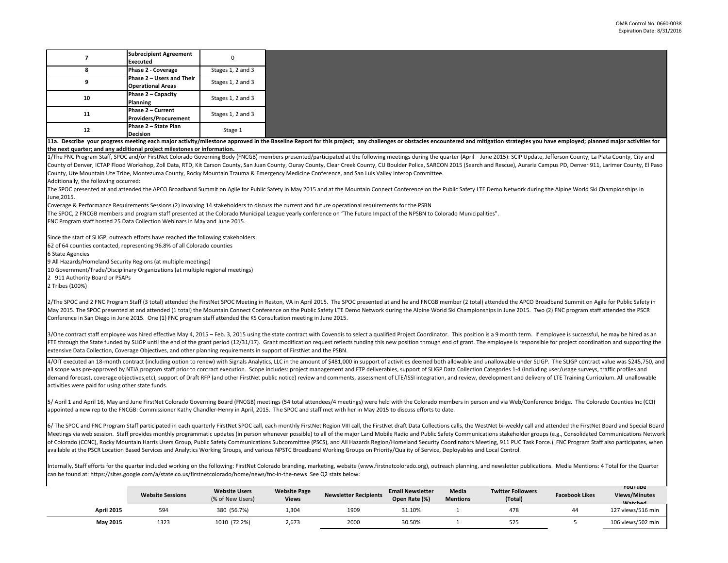|    | <b>Subrecipient Agreement</b><br><b>Executed</b>          | U                 |  |
|----|-----------------------------------------------------------|-------------------|--|
|    | <b>Phase 2 - Coverage</b>                                 | Stages 1, 2 and 3 |  |
| 9  | Phase 2 – Users and Their<br><b>Operational Areas</b>     | Stages 1, 2 and 3 |  |
| 10 | <b>Phase <math>2 -</math> Capacity</b><br><b>Planning</b> | Stages 1, 2 and 3 |  |
| 11 | <b>Phase 2 - Current</b><br><b>Providers/Procurement</b>  | Stages 1, 2 and 3 |  |
| 12 | Phase 2 - State Plan<br><b>Decision</b>                   | Stage 1           |  |

County, Ute Mountain Ute Tribe, Montezuma County, Rocky Mountain Trauma & Emergency Medicine Conference, and San Luis Valley Interop Committee.

FNC Program staff hosted 25 Data Collection Webinars in May and June 2015.

62 of 64 counties contacted, representing 96.8% of all Colorado counties

10 Government/Trade/Disciplinary Organizations (at multiple regional meetings)

2 911 Authority Board or PSAPs

**Decision** Stage 1 **Website Sessions Website Users** (% of New Users) **Website Page Views Newsletter Recipients Email Newsletter Open Rate (%) Media Mentions Twitter Followers (Total) Facebook Likes YOU I UDE Views/Minutes Watched April 2015** 594 594 380 (56.7%) 1,304 1909 31.10% 1 478 478 44 127 views/516 min **May 2015** 1323 1010 (72.2%) 2,673 2000 30.50% 1 525 5 5 106 views/502 min 1/The FNC Program Staff, SPOC and/or FirstNet Colorado Governing Body (FNCGB) members presented/participated at the following meetings during the quarter (April – June 2015): SCIP Update, Jefferson County, La Plata County, 3/One contract staff employee was hired effective May 4, 2015 – Feb. 3, 2015 using the state contract with Covendis to select a qualified Project Coordinator. This position is a 9 month term. If employee is successful, he FTE through the State funded by SLIGP until the end of the grant period (12/31/17). Grant modification request reflects funding this new position through end of grant. The employee is responsible for project coordination a appointed a new rep to the FNCGB: Commissioner Kathy Chandler-Henry in April, 2015. The SPOC and staff met with her in May 2015 to discuss efforts to date. Meetings via web session. Staff provides monthly programmatic updates (in person whenever possible) to all of the major Land Mobile Radio and Public Safety Communications stakeholder groups (e.g., Consolidated Communicatio

County of Denver, ICTAP Flood Workshop, Zoll Data, RTD, Kit Carson County, San Juan County, Ouray County, Clear Creek County, CU Boulder Police, SARCON 2015 (Search and Rescue), Auraria Campus PD, Denver 911, Larimer Count Additionally, the following occurred: The SPOC presented at and attended the APCO Broadband Summit on Agile for Public Safety in May 2015 and at the Mountain Connect Conference on the Public Safety LTE Demo Network during the Alpine World Ski Championships in June,2015. Coverage & Performance Requirements Sessions (2) involving 14 stakeholders to discuss the current and future operational requirements for the PSBN The SPOC, 2 FNCGB members and program staff presented at the Colorado Municipal League yearly conference on "The Future Impact of the NPSBN to Colorado Municipalities". Since the start of SLIGP, outreach efforts have reached the following stakeholders: 6 State Agencies 9 All Hazards/Homeland Security Regions (at multiple meetings) 2 Tribes (100%) 2/The SPOC and 2 FNC Program Staff (3 total) attended the FirstNet SPOC Meeting in Reston, VA in April 2015. The SPOC presented at and he and FNCGB member (2 total) attended the APCO Broadband Summit on Agile for Public Sa May 2015. The SPOC presented at and attended (1 total) the Mountain Connect Conference on the Public Safety LTE Demo Network during the Alpine World Ski Championships in June 2015. Two (2) FNC program staff attended the PSCR Conference in San Diego in June 2015. One (1) FNC program staff attended the KS Consultation meeting in June 2015. extensive Data Collection, Coverage Objectives, and other planning requirements in support of FirstNet and the PSBN. 11a. Describe your progress meeting each major activity/milestone approved in the Baseline Report for this project; any challenges or obstacles encountered and mitigation strategies you have employed; planned major activit 4/OIT executed an 18-month contract (including option to renew) with Signals Analytics, LLC in the amount of \$481,000 in support of activities deemed both allowable and unallowable under SLIGP. The SLIGP contract value was all scope was pre-approved by NTIA program staff prior to contract execution. Scope includes: project management and FTP deliverables, support of SLIGP Data Collection Categories 1-4 (including user/usage surveys, traffic demand forecast, coverage objectives,etc), support of Draft RFP (and other FirstNet public notice) review and comments, assessment of LTE/ISSI integration, and review, development and delivery of LTE Training Curriculum. A activities were paid for using other state funds. 5/ April 1 and April 16, May and June FirstNet Colorado Governing Board (FNCGB) meetings (54 total attendees/4 meetings) were held with the Colorado members in person and via Web/Conference Bridge. The Colorado Counties In 6/ The SPOC and FNC Program Staff participated in each quarterly FirstNet SPOC call, each monthly FirstNet Region VIII call, the FirstNet draft Data Collections calls, the WestNet bi-weekly call and attended the FirstNet B of Colorado (CCNC), Rocky Mountain Harris Users Group, Public Safety Communications Subcommittee (PSCS), and All Hazards Region/Homeland Security Coordinators Meeting, 911 PUC Task Force.) FNC Program Staff also participat available at the PSCR Location Based Services and Analytics Working Groups, and various NPSTC Broadband Working Groups on Priority/Quality of Service, Deployables and Local Control. Internally, Staff efforts for the quarter included working on the following: FirstNet Colorado branding, marketing, website (www.firstnetcolorado.org), outreach planning, and newsletter publications. Media Mentions: 4 Tota can be found at: https://sites.google.com/a/state.co.us/firstnetcolorado/home/news/fnc-in-the-news See Q2 stats below:

|                   | <b>Website Sessions</b> | <b>Website Users</b><br>(% of New Users) | <b>Website Page</b><br><b>Views</b> | <b>Newsletter Recipients</b> | <b>Email Newsletter</b><br>Open Rate (%) | <b>Media</b><br><b>Mentions</b> |
|-------------------|-------------------------|------------------------------------------|-------------------------------------|------------------------------|------------------------------------------|---------------------------------|
| <b>April 2015</b> | 594                     | 380 (56.7%)                              | 1,304                               | 1909                         | 31.10%                                   |                                 |
| May 2015          | 1323                    | 1010 (72.2%)                             | 2,673                               | 2000                         | 30.50%                                   |                                 |

**the next quarter; and any additional project milestones or information.**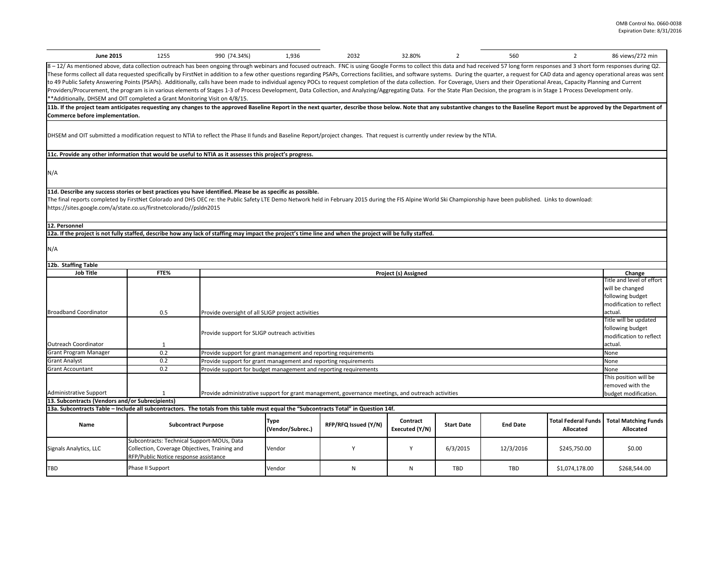| <b>June 2015</b>                                                                                                                                                                                                                                                                                                                                                                                                                                                                                                                                                                                                                                                                                                                                                                                                                                                                                                                                                                                                           | 1255                                                                                                                                                                                    | 990 (74.34%)                                                    | 1,936  | 2032         | 32.80%                      |     | 560                                                                             | 2                                                                                                      | 86 views/272 min                                |
|----------------------------------------------------------------------------------------------------------------------------------------------------------------------------------------------------------------------------------------------------------------------------------------------------------------------------------------------------------------------------------------------------------------------------------------------------------------------------------------------------------------------------------------------------------------------------------------------------------------------------------------------------------------------------------------------------------------------------------------------------------------------------------------------------------------------------------------------------------------------------------------------------------------------------------------------------------------------------------------------------------------------------|-----------------------------------------------------------------------------------------------------------------------------------------------------------------------------------------|-----------------------------------------------------------------|--------|--------------|-----------------------------|-----|---------------------------------------------------------------------------------|--------------------------------------------------------------------------------------------------------|-------------------------------------------------|
| 8 - 12/ As mentioned above, data collection outreach has been ongoing through webinars and focused outreach. FNC is using Google Forms to collect this data and had received 57 long form responses and 3 short form responses<br>These forms collect all data requested specifically by FirstNet in addition to a few other questions regarding PSAPs, Corrections facilities, and software systems. During the quarter, a request for CAD data and agency oper<br>to 49 Public Safety Answering Points (PSAPs). Additionally, calls have been made to individual agency POCs to request completion of the data collection. For Coverage, Users and their Operational Areas, Capacity Planning an<br>Providers/Procurement, the program is in various elements of Stages 1-3 of Process Development, Data Collection, and Analyzing/Aggregating Data. For the State Plan Decision, the program is in Stage 1 Process Development on<br><b>**Additionally, DHSEM and OIT completed a Grant Monitoring Visit on 4/8/15.</b> |                                                                                                                                                                                         |                                                                 |        |              |                             |     |                                                                                 |                                                                                                        |                                                 |
| [11b. If the project team anticipates requesting any changes to the approved Baseline Report in the next quarter, describe those below. Note that any substantive changes to the Baseline Report must be approved by the Depar<br>Commerce before implementation.                                                                                                                                                                                                                                                                                                                                                                                                                                                                                                                                                                                                                                                                                                                                                          |                                                                                                                                                                                         |                                                                 |        |              |                             |     |                                                                                 |                                                                                                        |                                                 |
| DHSEM and OIT submitted a modification request to NTIA to reflect the Phase II funds and Baseline Report/project changes. That request is currently under review by the NTIA.                                                                                                                                                                                                                                                                                                                                                                                                                                                                                                                                                                                                                                                                                                                                                                                                                                              |                                                                                                                                                                                         |                                                                 |        |              |                             |     |                                                                                 |                                                                                                        |                                                 |
| 11c. Provide any other information that would be useful to NTIA as it assesses this project's progress.                                                                                                                                                                                                                                                                                                                                                                                                                                                                                                                                                                                                                                                                                                                                                                                                                                                                                                                    |                                                                                                                                                                                         |                                                                 |        |              |                             |     |                                                                                 |                                                                                                        |                                                 |
| N/A                                                                                                                                                                                                                                                                                                                                                                                                                                                                                                                                                                                                                                                                                                                                                                                                                                                                                                                                                                                                                        |                                                                                                                                                                                         |                                                                 |        |              |                             |     |                                                                                 |                                                                                                        |                                                 |
| 11d. Describe any success stories or best practices you have identified. Please be as specific as possible.<br>The final reports completed by FirstNet Colorado and DHS OEC re: the Public Safety LTE Demo Network held in February 2015 during the FIS Alpine World Ski Championship have been published. Links to download:<br>https://sites.google.com/a/state.co.us/firstnetcolorado//psldn2015                                                                                                                                                                                                                                                                                                                                                                                                                                                                                                                                                                                                                        |                                                                                                                                                                                         |                                                                 |        |              |                             |     |                                                                                 |                                                                                                        |                                                 |
| 12. Personnel                                                                                                                                                                                                                                                                                                                                                                                                                                                                                                                                                                                                                                                                                                                                                                                                                                                                                                                                                                                                              |                                                                                                                                                                                         |                                                                 |        |              |                             |     |                                                                                 |                                                                                                        |                                                 |
| 12a. If the project is not fully staffed, describe how any lack of staffing may impact the project's time line and when the project will be fully staffed.                                                                                                                                                                                                                                                                                                                                                                                                                                                                                                                                                                                                                                                                                                                                                                                                                                                                 |                                                                                                                                                                                         |                                                                 |        |              |                             |     |                                                                                 |                                                                                                        |                                                 |
| N/A                                                                                                                                                                                                                                                                                                                                                                                                                                                                                                                                                                                                                                                                                                                                                                                                                                                                                                                                                                                                                        |                                                                                                                                                                                         |                                                                 |        |              |                             |     |                                                                                 |                                                                                                        |                                                 |
| 12b. Staffing Table                                                                                                                                                                                                                                                                                                                                                                                                                                                                                                                                                                                                                                                                                                                                                                                                                                                                                                                                                                                                        |                                                                                                                                                                                         |                                                                 |        |              |                             |     |                                                                                 |                                                                                                        |                                                 |
| <b>Job Title</b>                                                                                                                                                                                                                                                                                                                                                                                                                                                                                                                                                                                                                                                                                                                                                                                                                                                                                                                                                                                                           | FTE%                                                                                                                                                                                    |                                                                 |        |              | <b>Project (s) Assigned</b> |     |                                                                                 |                                                                                                        | Change                                          |
| <b>Broadband Coordinator</b>                                                                                                                                                                                                                                                                                                                                                                                                                                                                                                                                                                                                                                                                                                                                                                                                                                                                                                                                                                                               | 0.5<br>Provide oversight of all SLIGP project activities                                                                                                                                |                                                                 |        |              |                             |     |                                                                                 | Title and level of effort<br>will be changed<br>following budget<br>modification to reflect<br>actual. |                                                 |
| Provide support for SLIGP outreach activities                                                                                                                                                                                                                                                                                                                                                                                                                                                                                                                                                                                                                                                                                                                                                                                                                                                                                                                                                                              |                                                                                                                                                                                         |                                                                 |        |              |                             |     | Title will be updated<br>following budget<br>modification to reflect<br>actual. |                                                                                                        |                                                 |
| Outreach Coordinator<br><b>Grant Program Manager</b>                                                                                                                                                                                                                                                                                                                                                                                                                                                                                                                                                                                                                                                                                                                                                                                                                                                                                                                                                                       | $\mathbf{1}$<br>0.2                                                                                                                                                                     | Provide support for grant management and reporting requirements |        |              |                             |     |                                                                                 |                                                                                                        | None                                            |
| <b>Grant Analyst</b>                                                                                                                                                                                                                                                                                                                                                                                                                                                                                                                                                                                                                                                                                                                                                                                                                                                                                                                                                                                                       | 0.2                                                                                                                                                                                     | Provide support for grant management and reporting requirements |        |              |                             |     |                                                                                 |                                                                                                        | None                                            |
| <b>Grant Accountant</b>                                                                                                                                                                                                                                                                                                                                                                                                                                                                                                                                                                                                                                                                                                                                                                                                                                                                                                                                                                                                    | 0.2                                                                                                                                                                                     |                                                                 |        |              |                             |     |                                                                                 |                                                                                                        | None                                            |
| Provide support for budget management and reporting requirements<br>Administrative Support<br>Provide administrative support for grant management, governance meetings, and outreach activities                                                                                                                                                                                                                                                                                                                                                                                                                                                                                                                                                                                                                                                                                                                                                                                                                            |                                                                                                                                                                                         |                                                                 |        |              |                             |     | This position will be<br>removed with the<br>budget modification.               |                                                                                                        |                                                 |
| 13. Subcontracts (Vendors and/or Subrecipients)                                                                                                                                                                                                                                                                                                                                                                                                                                                                                                                                                                                                                                                                                                                                                                                                                                                                                                                                                                            |                                                                                                                                                                                         |                                                                 |        |              |                             |     |                                                                                 |                                                                                                        |                                                 |
| 13a. Subcontracts Table - Include all subcontractors. The totals from this table must equal the "Subcontracts Total" in Question 14f.                                                                                                                                                                                                                                                                                                                                                                                                                                                                                                                                                                                                                                                                                                                                                                                                                                                                                      |                                                                                                                                                                                         |                                                                 |        |              |                             |     |                                                                                 |                                                                                                        |                                                 |
| <b>Type</b><br>Contract<br>RFP/RFQ Issued (Y/N)<br><b>Name</b><br><b>Subcontract Purpose</b><br><b>Start Date</b><br><b>End Date</b><br>(Vendor/Subrec.)<br>Executed (Y/N)<br><b>Allocated</b>                                                                                                                                                                                                                                                                                                                                                                                                                                                                                                                                                                                                                                                                                                                                                                                                                             |                                                                                                                                                                                         |                                                                 |        |              |                             |     |                                                                                 | <b>Total Federal Funds</b>                                                                             | <b>Total Matching Funds</b><br><b>Allocated</b> |
| Signals Analytics, LLC                                                                                                                                                                                                                                                                                                                                                                                                                                                                                                                                                                                                                                                                                                                                                                                                                                                                                                                                                                                                     | Subcontracts: Technical Support-MOUs, Data<br>Collection, Coverage Objectives, Training and<br>6/3/2015<br>12/3/2016<br>Vendor<br>\$245,750.00<br>RFP/Public Notice response assistance |                                                                 |        |              |                             |     |                                                                                 | \$0.00                                                                                                 |                                                 |
| <b>TBD</b>                                                                                                                                                                                                                                                                                                                                                                                                                                                                                                                                                                                                                                                                                                                                                                                                                                                                                                                                                                                                                 | Phase II Support                                                                                                                                                                        |                                                                 | Vendor | $\mathsf{N}$ | N                           | TBD | TBD                                                                             | \$1,074,178.00                                                                                         | \$268,544.00                                    |